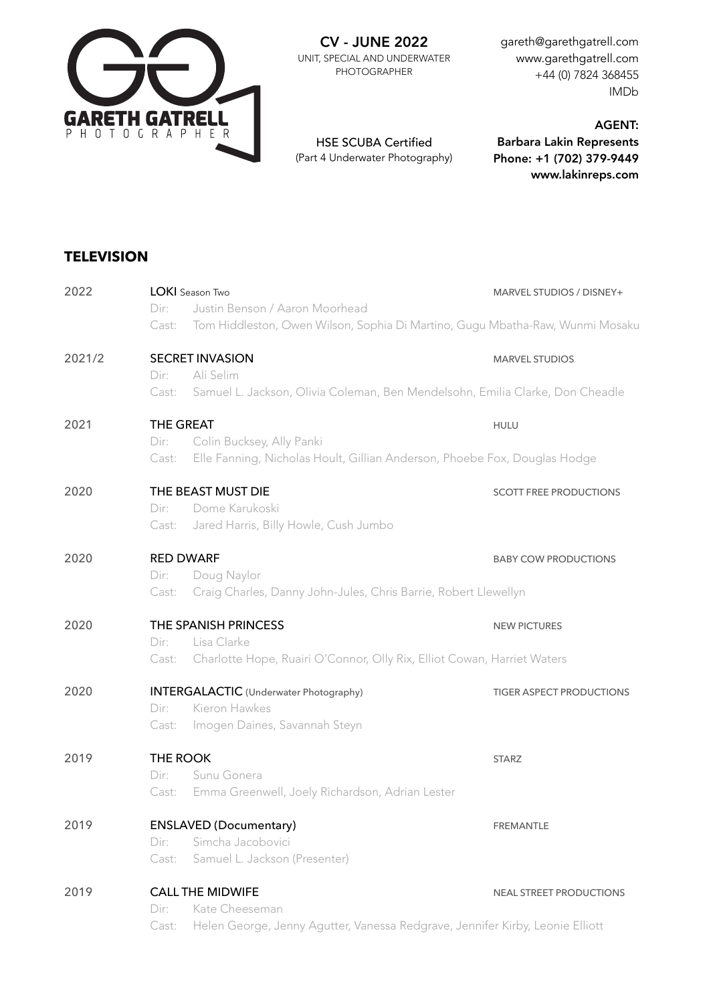

CV - JUNE 2022 UNIT, SPECIAL AND UNDERWATER PHOTOGRAPHER

HSE SCUBA Certified (Part 4 Underwater Photography) [gareth@garethgatrell.com](mailto:gareth@garethgatrell.com) [www.garethgatrell.com](http://www.garethgatrell.com) +44 (0) 7824 368455 [IMDb](https://pro-labs.imdb.com/name/nm3643868)

AGENT: Barbara Lakin Represents Phone: +1 (702) 379-9449 www.lakinreps.com

## **TELEVISION**

| 2022   | <b>LOKI</b> Season Two<br>Justin Benson / Aaron Moorhead<br>Dir:<br>Tom Hiddleston, Owen Wilson, Sophia Di Martino, Gugu Mbatha-Raw, Wunmi Mosaku<br>Cast: | MARVEL STUDIOS / DISNEY+        |  |  |
|--------|------------------------------------------------------------------------------------------------------------------------------------------------------------|---------------------------------|--|--|
| 2021/2 | <b>SECRET INVASION</b><br>Ali Selim<br>Dir:                                                                                                                | <b>MARVEL STUDIOS</b>           |  |  |
|        | Samuel L. Jackson, Olivia Coleman, Ben Mendelsohn, Emilia Clarke, Don Cheadle<br>Cast:                                                                     |                                 |  |  |
| 2021   | THE GREAT<br>Colin Bucksey, Ally Panki<br>Dir:<br>Elle Fanning, Nicholas Hoult, Gillian Anderson, Phoebe Fox, Douglas Hodge<br>Cast:                       | <b>HULU</b>                     |  |  |
| 2020   | THE BEAST MUST DIE<br>Dome Karukoski<br>Dir:<br>Jared Harris, Billy Howle, Cush Jumbo<br>Cast:                                                             | <b>SCOTT FREE PRODUCTIONS</b>   |  |  |
| 2020   | <b>RED DWARF</b><br>Doug Naylor<br>Dir:<br>Craig Charles, Danny John-Jules, Chris Barrie, Robert Llewellyn<br>Cast:                                        | <b>BABY COW PRODUCTIONS</b>     |  |  |
| 2020   | THE SPANISH PRINCESS<br>Lisa Clarke<br>Dir:<br>Charlotte Hope, Ruairi O'Connor, Olly Rix, Elliot Cowan, Harriet Waters<br>Cast:                            | <b>NEW PICTURES</b>             |  |  |
| 2020   | <b>INTERGALACTIC</b> (Underwater Photography)<br>Kieron Hawkes<br>Dir:<br>Imogen Daines, Savannah Steyn<br>Cast:                                           | <b>TIGER ASPECT PRODUCTIONS</b> |  |  |
| 2019   | THE ROOK<br>Sunu Gonera<br>Dir:<br>Emma Greenwell, Joely Richardson, Adrian Lester<br>Cast:                                                                | <b>STARZ</b>                    |  |  |
| 2019   | <b>ENSLAVED (Documentary)</b><br>Simcha Jacobovici<br>Dir:<br>Samuel L. Jackson (Presenter)<br>Cast:                                                       | <b>FREMANTLE</b>                |  |  |
| 2019   | <b>CALL THE MIDWIFE</b><br>Kate Cheeseman<br>Dir:<br>Helen George, Jenny Agutter, Vanessa Redgrave, Jennifer Kirby, Leonie Elliott<br>Cast:                | <b>NEAL STREET PRODUCTIONS</b>  |  |  |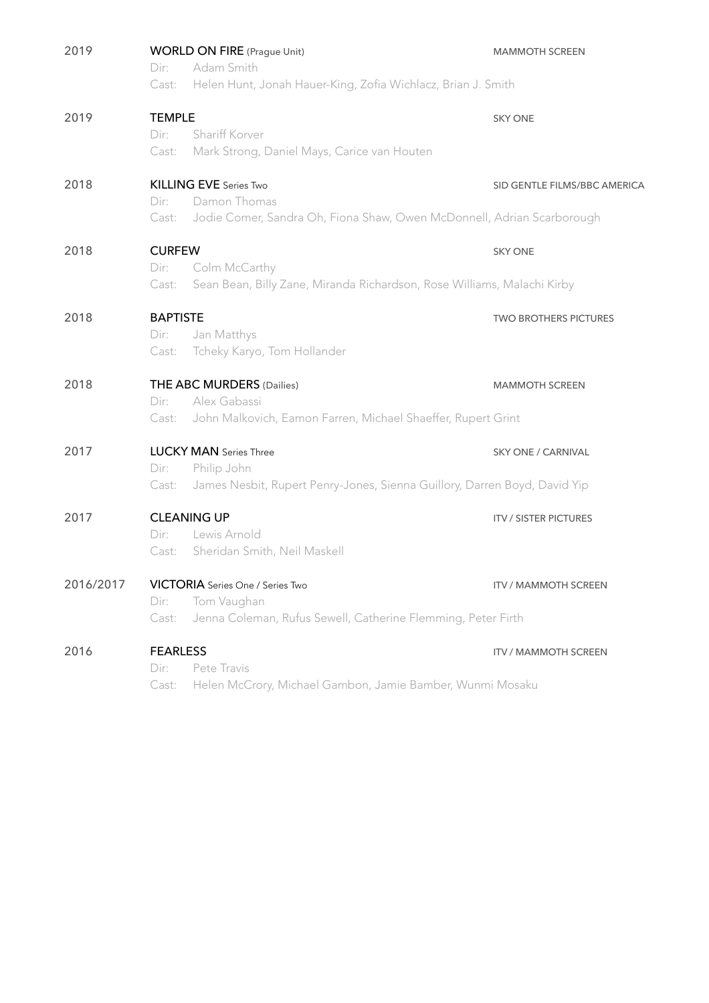| 2019      | <b>WORLD ON FIRE</b> (Prague Unit)                                                 | <b>MAMMOTH SCREEN</b>        |  |
|-----------|------------------------------------------------------------------------------------|------------------------------|--|
|           | Adam Smith<br>Dir:                                                                 |                              |  |
|           | Helen Hunt, Jonah Hauer-King, Zofia Wichlacz, Brian J. Smith<br>Cast:              |                              |  |
| 2019      | <b>TEMPLE</b>                                                                      | <b>SKY ONE</b>               |  |
|           | Shariff Korver<br>Dir:                                                             |                              |  |
|           | Mark Strong, Daniel Mays, Carice van Houten<br>Cast:                               |                              |  |
| 2018      | <b>KILLING EVE Series Two</b>                                                      | SID GENTLE FILMS/BBC AMERICA |  |
|           | Damon Thomas<br>Dir:                                                               |                              |  |
|           | Jodie Comer, Sandra Oh, Fiona Shaw, Owen McDonnell, Adrian Scarborough<br>Cast:    |                              |  |
| 2018      | <b>CURFEW</b>                                                                      | <b>SKY ONE</b>               |  |
|           | Colm McCarthy<br>Dir:                                                              |                              |  |
|           | Sean Bean, Billy Zane, Miranda Richardson, Rose Williams, Malachi Kirby<br>Cast:   |                              |  |
| 2018      | <b>BAPTISTE</b>                                                                    | <b>TWO BROTHERS PICTURES</b> |  |
|           | Jan Matthys<br>Dir:                                                                |                              |  |
|           | Tcheky Karyo, Tom Hollander<br>Cast:                                               |                              |  |
| 2018      | THE ABC MURDERS (Dailies)                                                          | <b>MAMMOTH SCREEN</b>        |  |
|           | Alex Gabassi<br>Dir:                                                               |                              |  |
|           | John Malkovich, Eamon Farren, Michael Shaeffer, Rupert Grint<br>Cast:              |                              |  |
| 2017      | <b>LUCKY MAN</b> Series Three                                                      | SKY ONE / CARNIVAL           |  |
|           | Philip John<br>Dir:                                                                |                              |  |
|           | James Nesbit, Rupert Penry-Jones, Sienna Guillory, Darren Boyd, David Yip<br>Cast: |                              |  |
| 2017      | <b>CLEANING UP</b>                                                                 | <b>ITV / SISTER PICTURES</b> |  |
|           | Lewis Arnold<br>Dir:                                                               |                              |  |
|           | Sheridan Smith, Neil Maskell<br>Cast:                                              |                              |  |
| 2016/2017 | <b>VICTORIA</b> Series One / Series Two                                            | <b>ITV / MAMMOTH SCREEN</b>  |  |
|           | Dir:<br>Tom Vaughan                                                                |                              |  |
|           | Jenna Coleman, Rufus Sewell, Catherine Flemming, Peter Firth<br>Cast:              |                              |  |
| 2016      | <b>FEARLESS</b>                                                                    | <b>ITV / MAMMOTH SCREEN</b>  |  |
|           | Dir:<br>Pete Travis                                                                |                              |  |
|           | Helen McCrory, Michael Gambon, Jamie Bamber, Wunmi Mosaku<br>Cast:                 |                              |  |